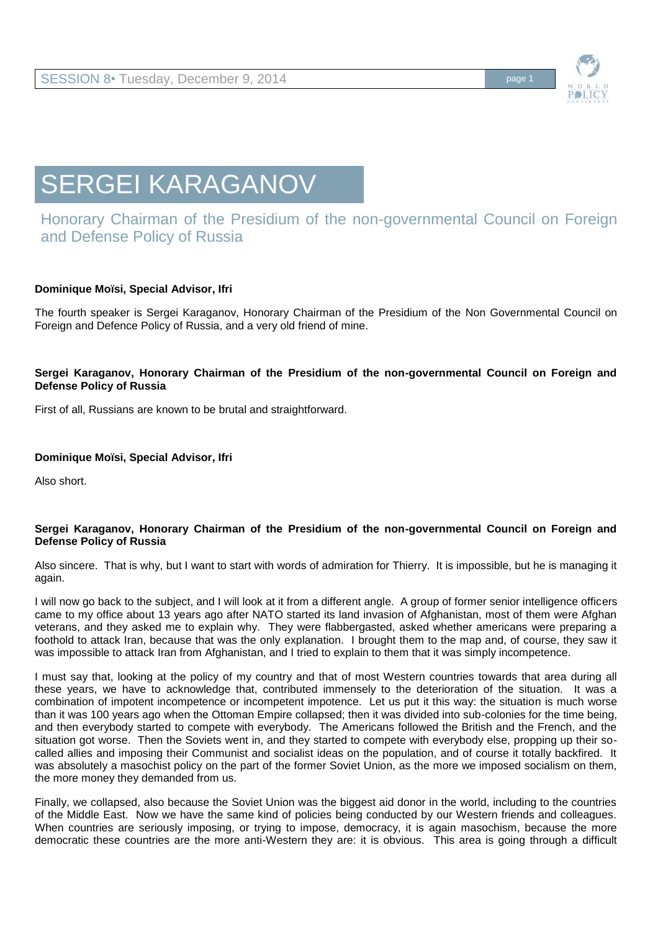

# SERGEI KARAGANOV

## Honorary Chairman of the Presidium of the non-governmental Council on Foreign and Defense Policy of Russia

### **Dominique Moïsi, Special Advisor, Ifri**

The fourth speaker is Sergei Karaganov, Honorary Chairman of the Presidium of the Non Governmental Council on Foreign and Defence Policy of Russia, and a very old friend of mine.

#### **Sergei Karaganov, Honorary Chairman of the Presidium of the non-governmental Council on Foreign and Defense Policy of Russia**

First of all, Russians are known to be brutal and straightforward.

#### **Dominique Moïsi, Special Advisor, Ifri**

Also short.

#### **Sergei Karaganov, Honorary Chairman of the Presidium of the non-governmental Council on Foreign and Defense Policy of Russia**

Also sincere. That is why, but I want to start with words of admiration for Thierry. It is impossible, but he is managing it again.

I will now go back to the subject, and I will look at it from a different angle. A group of former senior intelligence officers came to my office about 13 years ago after NATO started its land invasion of Afghanistan, most of them were Afghan veterans, and they asked me to explain why. They were flabbergasted, asked whether americans were preparing a foothold to attack Iran, because that was the only explanation. I brought them to the map and, of course, they saw it was impossible to attack Iran from Afghanistan, and I tried to explain to them that it was simply incompetence.

I must say that, looking at the policy of my country and that of most Western countries towards that area during all these years, we have to acknowledge that, contributed immensely to the deterioration of the situation. It was a combination of impotent incompetence or incompetent impotence. Let us put it this way: the situation is much worse than it was 100 years ago when the Ottoman Empire collapsed; then it was divided into sub-colonies for the time being, and then everybody started to compete with everybody. The Americans followed the British and the French, and the situation got worse. Then the Soviets went in, and they started to compete with everybody else, propping up their socalled allies and imposing their Communist and socialist ideas on the population, and of course it totally backfired. It was absolutely a masochist policy on the part of the former Soviet Union, as the more we imposed socialism on them, the more money they demanded from us.

Finally, we collapsed, also because the Soviet Union was the biggest aid donor in the world, including to the countries of the Middle East. Now we have the same kind of policies being conducted by our Western friends and colleagues. When countries are seriously imposing, or trying to impose, democracy, it is again masochism, because the more democratic these countries are the more anti-Western they are: it is obvious. This area is going through a difficult